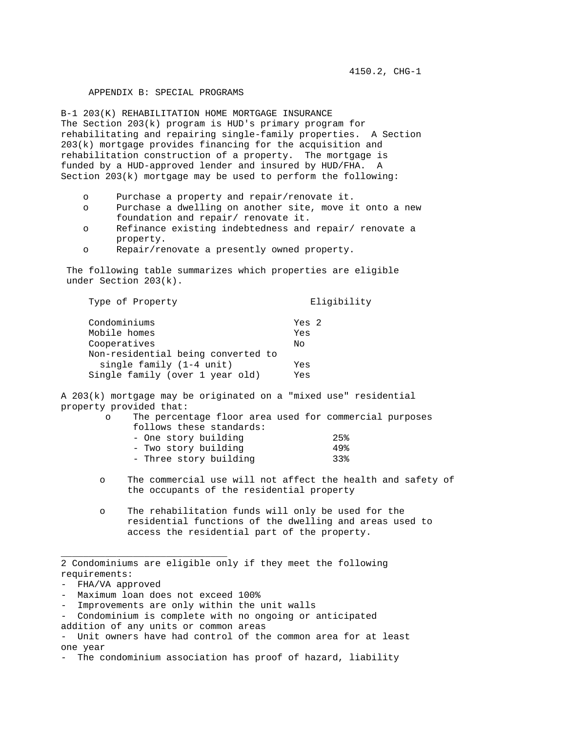## APPENDIX B: SPECIAL PROGRAMS

B-1 203(K) REHABILITATION HOME MORTGAGE INSURANCE The Section 203(k) program is HUD's primary program for rehabilitating and repairing single-family properties. A Section 203(k) mortgage provides financing for the acquisition and rehabilitation construction of a property. The mortgage is funded by a HUD-approved lender and insured by HUD/FHA. A Section  $203(k)$  mortgage may be used to perform the following:

- o Purchase a property and repair/renovate it.
- o Purchase a dwelling on another site, move it onto a new foundation and repair/ renovate it.
- o Refinance existing indebtedness and repair/ renovate a property.
- o Repair/renovate a presently owned property.

 The following table summarizes which properties are eligible under Section 203(k).

Type of Property and Eligibility

| Condominiums                       | Yes 2 |
|------------------------------------|-------|
| Mobile homes                       | Yes   |
| Cooperatives                       | No    |
| Non-residential being converted to |       |
| single family (1-4 unit)           | Yes   |
| Single family (over 1 year old)    | Yes   |

A 203(k) mortgage may be originated on a "mixed use" residential property provided that:

> o The percentage floor area used for commercial purposes follows these standards:

| - One story building   | 25% |
|------------------------|-----|
| - Two story building   | 49% |
| - Three story building | 33% |

- o The commercial use will not affect the health and safety of the occupants of the residential property
- o The rehabilitation funds will only be used for the residential functions of the dwelling and areas used to access the residential part of the property.

\_\_\_\_\_\_\_\_\_\_\_\_\_\_\_\_\_\_\_\_\_\_\_\_\_\_\_\_\_\_

<sup>2</sup> Condominiums are eligible only if they meet the following requirements:

<sup>-</sup> FHA/VA approved

<sup>-</sup> Maximum loan does not exceed 100%

<sup>-</sup> Improvements are only within the unit walls

<sup>-</sup> Condominium is complete with no ongoing or anticipated

addition of any units or common areas

<sup>-</sup> Unit owners have had control of the common area for at least one year

<sup>-</sup> The condominium association has proof of hazard, liability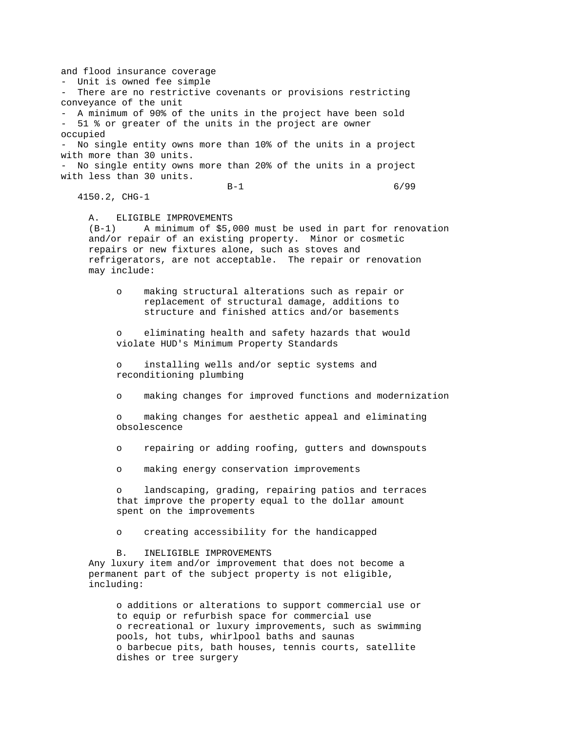and flood insurance coverage - Unit is owned fee simple - There are no restrictive covenants or provisions restricting conveyance of the unit - A minimum of 90% of the units in the project have been sold - 51 % or greater of the units in the project are owner occupied - No single entity owns more than 10% of the units in a project with more than 30 units. - No single entity owns more than 20% of the units in a project with less than 30 units. B-1 6/99 4150.2, CHG-1 A. ELIGIBLE IMPROVEMENTS<br>(B-1) A minimum of \$5, A minimum of \$5,000 must be used in part for renovation and/or repair of an existing property. Minor or cosmetic repairs or new fixtures alone, such as stoves and refrigerators, are not acceptable. The repair or renovation may include: o making structural alterations such as repair or replacement of structural damage, additions to structure and finished attics and/or basements eliminating health and safety hazards that would violate HUD's Minimum Property Standards o installing wells and/or septic systems and reconditioning plumbing o making changes for improved functions and modernization o making changes for aesthetic appeal and eliminating obsolescence o repairing or adding roofing, gutters and downspouts o making energy conservation improvements landscaping, grading, repairing patios and terraces that improve the property equal to the dollar amount spent on the improvements o creating accessibility for the handicapped B. INELIGIBLE IMPROVEMENTS Any luxury item and/or improvement that does not become a permanent part of the subject property is not eligible, including: o additions or alterations to support commercial use or to equip or refurbish space for commercial use o recreational or luxury improvements, such as swimming pools, hot tubs, whirlpool baths and saunas o barbecue pits, bath houses, tennis courts, satellite dishes or tree surgery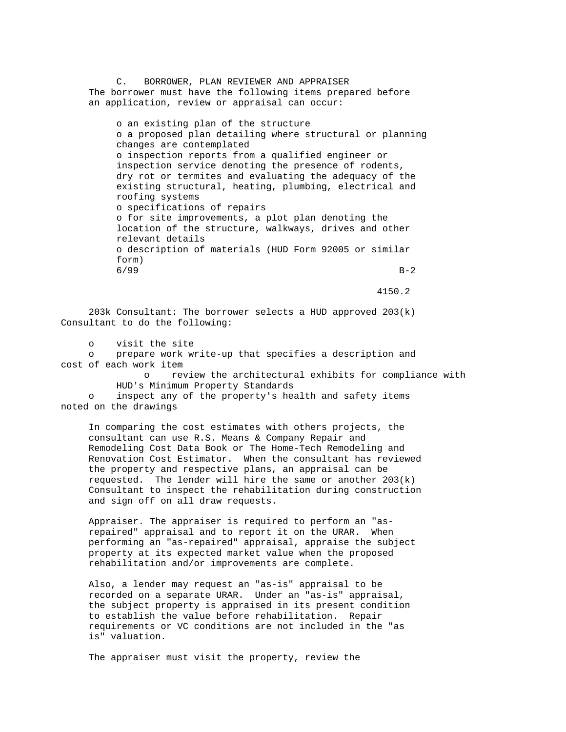C. BORROWER, PLAN REVIEWER AND APPRAISER The borrower must have the following items prepared before an application, review or appraisal can occur:

 o an existing plan of the structure o a proposed plan detailing where structural or planning changes are contemplated o inspection reports from a qualified engineer or inspection service denoting the presence of rodents, dry rot or termites and evaluating the adequacy of the existing structural, heating, plumbing, electrical and roofing systems o specifications of repairs o for site improvements, a plot plan denoting the location of the structure, walkways, drives and other relevant details o description of materials (HUD Form 92005 or similar form)  $6/99$  B-2

4150.2

 203k Consultant: The borrower selects a HUD approved 203(k) Consultant to do the following:

o visit the site

 o prepare work write-up that specifies a description and cost of each work item

> o review the architectural exhibits for compliance with HUD's Minimum Property Standards

 o inspect any of the property's health and safety items noted on the drawings

 In comparing the cost estimates with others projects, the consultant can use R.S. Means & Company Repair and Remodeling Cost Data Book or The Home-Tech Remodeling and Renovation Cost Estimator. When the consultant has reviewed the property and respective plans, an appraisal can be requested. The lender will hire the same or another  $203(k)$  Consultant to inspect the rehabilitation during construction and sign off on all draw requests.

 Appraiser. The appraiser is required to perform an "as repaired" appraisal and to report it on the URAR. When performing an "as-repaired" appraisal, appraise the subject property at its expected market value when the proposed rehabilitation and/or improvements are complete.

 Also, a lender may request an "as-is" appraisal to be recorded on a separate URAR. Under an "as-is" appraisal, the subject property is appraised in its present condition to establish the value before rehabilitation. Repair requirements or VC conditions are not included in the "as is" valuation.

The appraiser must visit the property, review the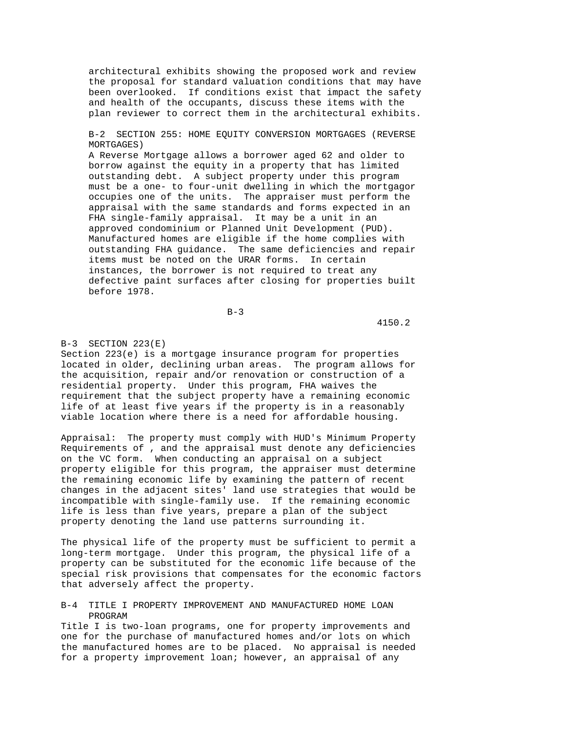architectural exhibits showing the proposed work and review the proposal for standard valuation conditions that may have been overlooked. If conditions exist that impact the safety and health of the occupants, discuss these items with the plan reviewer to correct them in the architectural exhibits.

 B-2 SECTION 255: HOME EQUITY CONVERSION MORTGAGES (REVERSE MORTGAGES)

 A Reverse Mortgage allows a borrower aged 62 and older to borrow against the equity in a property that has limited outstanding debt. A subject property under this program must be a one- to four-unit dwelling in which the mortgagor occupies one of the units. The appraiser must perform the appraisal with the same standards and forms expected in an FHA single-family appraisal. It may be a unit in an approved condominium or Planned Unit Development (PUD). Manufactured homes are eligible if the home complies with outstanding FHA guidance. The same deficiencies and repair items must be noted on the URAR forms. In certain instances, the borrower is not required to treat any defective paint surfaces after closing for properties built before 1978.

 $B-3$ 

4150.2

#### $B-3$  SECTION 223(E)

Section 223(e) is a mortgage insurance program for properties located in older, declining urban areas. The program allows for the acquisition, repair and/or renovation or construction of a residential property. Under this program, FHA waives the requirement that the subject property have a remaining economic life of at least five years if the property is in a reasonably viable location where there is a need for affordable housing.

Appraisal: The property must comply with HUD's Minimum Property Requirements of , and the appraisal must denote any deficiencies on the VC form. When conducting an appraisal on a subject property eligible for this program, the appraiser must determine the remaining economic life by examining the pattern of recent changes in the adjacent sites' land use strategies that would be incompatible with single-family use. If the remaining economic life is less than five years, prepare a plan of the subject property denoting the land use patterns surrounding it.

The physical life of the property must be sufficient to permit a long-term mortgage. Under this program, the physical life of a property can be substituted for the economic life because of the special risk provisions that compensates for the economic factors that adversely affect the property.

## B-4 TITLE I PROPERTY IMPROVEMENT AND MANUFACTURED HOME LOAN PROGRAM

Title I is two-loan programs, one for property improvements and one for the purchase of manufactured homes and/or lots on which the manufactured homes are to be placed. No appraisal is needed for a property improvement loan; however, an appraisal of any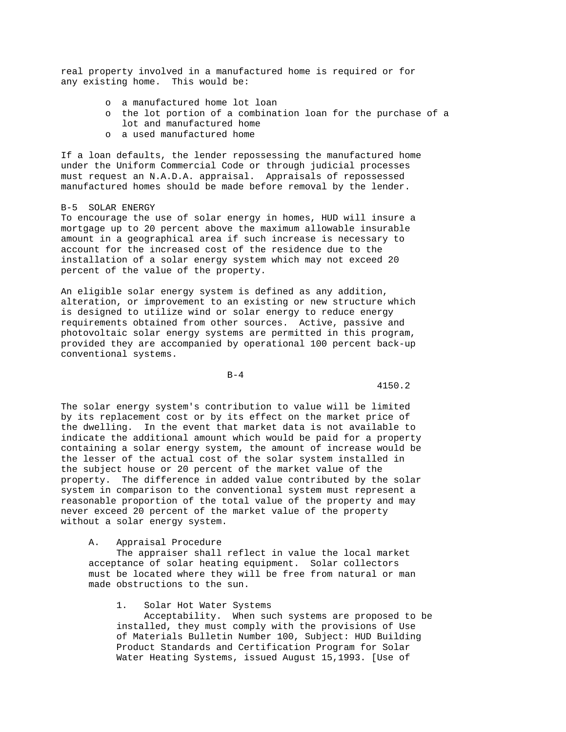real property involved in a manufactured home is required or for any existing home. This would be:

- o a manufactured home lot loan
- o the lot portion of a combination loan for the purchase of a lot and manufactured home
- o a used manufactured home

If a loan defaults, the lender repossessing the manufactured home under the Uniform Commercial Code or through judicial processes must request an N.A.D.A. appraisal. Appraisals of repossessed manufactured homes should be made before removal by the lender.

#### B-5 SOLAR ENERGY

To encourage the use of solar energy in homes, HUD will insure a mortgage up to 20 percent above the maximum allowable insurable amount in a geographical area if such increase is necessary to account for the increased cost of the residence due to the installation of a solar energy system which may not exceed 20 percent of the value of the property.

An eligible solar energy system is defined as any addition, alteration, or improvement to an existing or new structure which is designed to utilize wind or solar energy to reduce energy requirements obtained from other sources. Active, passive and photovoltaic solar energy systems are permitted in this program, provided they are accompanied by operational 100 percent back-up conventional systems.

 $B-4$ 

4150.2

The solar energy system's contribution to value will be limited by its replacement cost or by its effect on the market price of the dwelling. In the event that market data is not available to indicate the additional amount which would be paid for a property containing a solar energy system, the amount of increase would be the lesser of the actual cost of the solar system installed in the subject house or 20 percent of the market value of the property. The difference in added value contributed by the solar system in comparison to the conventional system must represent a reasonable proportion of the total value of the property and may never exceed 20 percent of the market value of the property without a solar energy system.

### A. Appraisal Procedure

 The appraiser shall reflect in value the local market acceptance of solar heating equipment. Solar collectors must be located where they will be free from natural or man made obstructions to the sun.

# 1. Solar Hot Water Systems

 Acceptability. When such systems are proposed to be installed, they must comply with the provisions of Use of Materials Bulletin Number 100, Subject: HUD Building Product Standards and Certification Program for Solar Water Heating Systems, issued August 15,1993. [Use of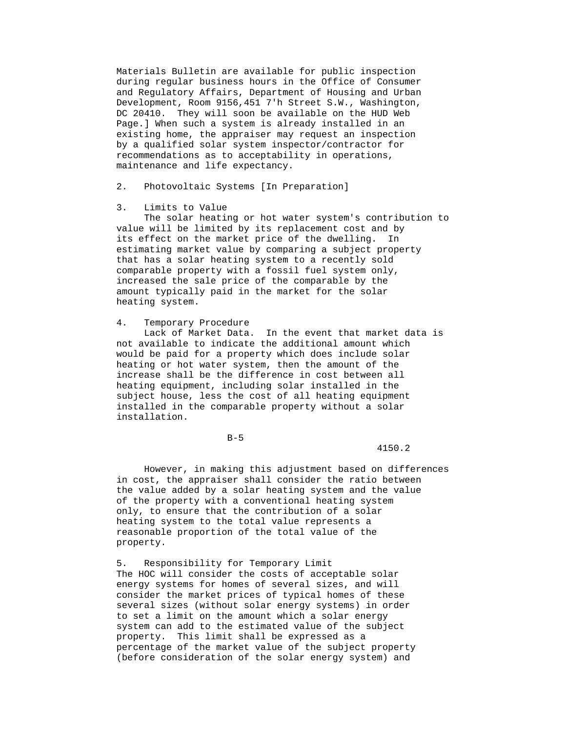Materials Bulletin are available for public inspection during regular business hours in the Office of Consumer and Regulatory Affairs, Department of Housing and Urban Development, Room 9156,451 7'h Street S.W., Washington, DC 20410. They will soon be available on the HUD Web Page.] When such a system is already installed in an existing home, the appraiser may request an inspection by a qualified solar system inspector/contractor for recommendations as to acceptability in operations, maintenance and life expectancy.

2. Photovoltaic Systems [In Preparation]

## 3. Limits to Value

 The solar heating or hot water system's contribution to value will be limited by its replacement cost and by its effect on the market price of the dwelling. In estimating market value by comparing a subject property that has a solar heating system to a recently sold comparable property with a fossil fuel system only, increased the sale price of the comparable by the amount typically paid in the market for the solar heating system.

## 4. Temporary Procedure

 Lack of Market Data. In the event that market data is not available to indicate the additional amount which would be paid for a property which does include solar heating or hot water system, then the amount of the increase shall be the difference in cost between all heating equipment, including solar installed in the subject house, less the cost of all heating equipment installed in the comparable property without a solar installation.

 $B-5$ 

# 4150.2

 However, in making this adjustment based on differences in cost, the appraiser shall consider the ratio between the value added by a solar heating system and the value of the property with a conventional heating system only, to ensure that the contribution of a solar heating system to the total value represents a reasonable proportion of the total value of the property.

 5. Responsibility for Temporary Limit The HOC will consider the costs of acceptable solar energy systems for homes of several sizes, and will consider the market prices of typical homes of these several sizes (without solar energy systems) in order to set a limit on the amount which a solar energy system can add to the estimated value of the subject property. This limit shall be expressed as a percentage of the market value of the subject property (before consideration of the solar energy system) and